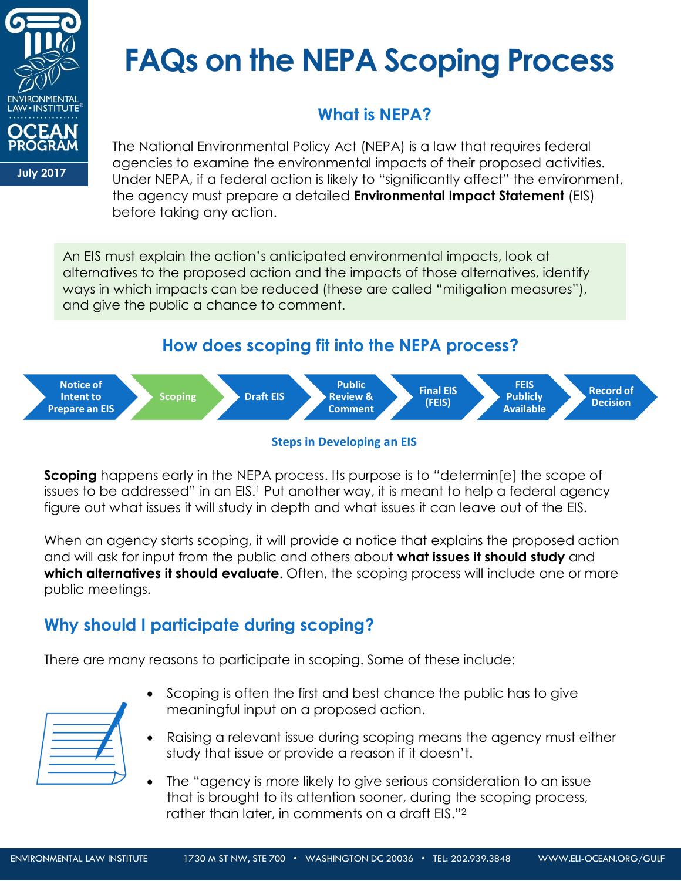

# **FAQs on the NEPA Scoping Process**

# **What is NEPA?**

**July 2017**

The National Environmental Policy Act (NEPA) is a law that requires federal agencies to examine the environmental impacts of their proposed activities. Under NEPA, if a federal action is likely to "significantly affect" the environment, the agency must prepare a detailed **Environmental Impact Statement** (EIS) before taking any action.

An EIS must explain the action's anticipated environmental impacts, look at alternatives to the proposed action and the impacts of those alternatives, identify ways in which impacts can be reduced (these are called "mitigation measures"), and give the public a chance to comment.

## **How does scoping fit into the NEPA process?**





**Scoping** happens early in the NEPA process. Its purpose is to "determin[e] the scope of issues to be addressed" in an EIS.<sup>1</sup> Put another way, it is meant to help a federal agency figure out what issues it will study in depth and what issues it can leave out of the EIS.

When an agency starts scoping, it will provide a notice that explains the proposed action and will ask for input from the public and others about **what issues it should study** and **which alternatives it should evaluate**. Often, the scoping process will include one or more public meetings.

# **Why should I participate during scoping?**

There are many reasons to participate in scoping. Some of these include:

- Scoping is often the first and best chance the public has to give meaningful input on a proposed action.
- Raising a relevant issue during scoping means the agency must either study that issue or provide a reason if it doesn't.
- The "agency is more likely to give serious consideration to an issue that is brought to its attention sooner, during the scoping process, rather than later, in comments on a draft EIS."2